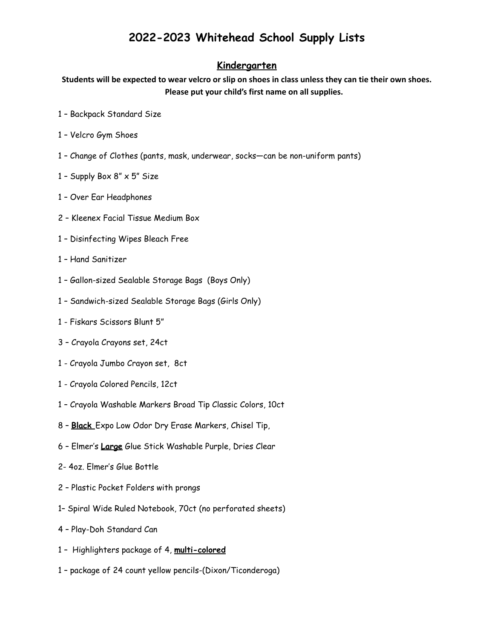#### **Kindergarten**

Students will be expected to wear velcro or slip on shoes in class unless they can tie their own shoes. **Please put your child's first name on all supplies.**

- Backpack Standard Size
- Velcro Gym Shoes
- Change of Clothes (pants, mask, underwear, socks—can be non-uniform pants)
- 1 Supply Box  $8'' \times 5''$  Size
- Over Ear Headphones
- Kleenex Facial Tissue Medium Box
- Disinfecting Wipes Bleach Free
- Hand Sanitizer
- Gallon-sized Sealable Storage Bags (Boys Only)
- Sandwich-sized Sealable Storage Bags (Girls Only)
- Fiskars Scissors Blunt 5"
- Crayola Crayons set, 24ct
- Crayola Jumbo Crayon set, 8ct
- Crayola Colored Pencils, 12ct
- Crayola Washable Markers Broad Tip Classic Colors, 10ct
- **Black** Expo Low Odor Dry Erase Markers, Chisel Tip,
- Elmer's **Large** Glue Stick Washable Purple, Dries Clear
- 2- 4oz. Elmer's Glue Bottle
- Plastic Pocket Folders with prongs
- 1– Spiral Wide Ruled Notebook, 70ct (no perforated sheets)
- Play-Doh Standard Can
- Highlighters package of 4, **multi-colored**
- package of 24 count yellow pencils-(Dixon/Ticonderoga)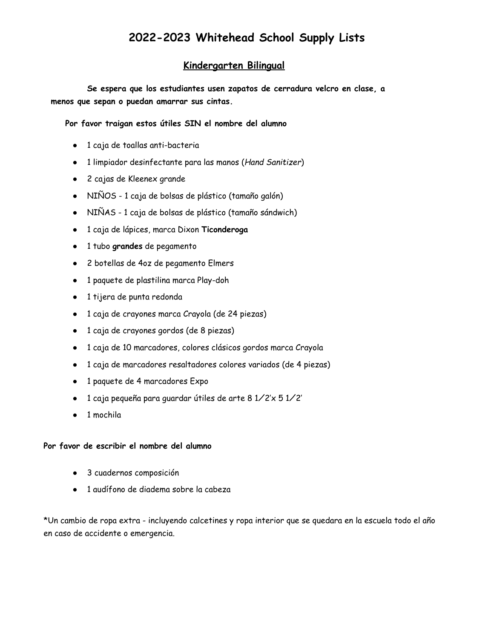#### **Kindergarten Bilingual**

**Se espera que los estudiantes usen zapatos de cerradura velcro en clase, a menos que sepan o puedan amarrar sus cintas.**

**Por favor traigan estos útiles SIN el nombre del alumno**

- 1 caja de toallas anti-bacteria
- 1 limpiador desinfectante para las manos (*Hand Sanitizer*)
- 2 cajas de Kleenex grande
- NIÑOS 1 caja de bolsas de plástico (tamaño galón)
- NIÑAS 1 caja de bolsas de plástico (tamaño sándwich)
- 1 caja de lápices, marca Dixon **Ticonderoga**
- 1 tubo **grandes** de pegamento
- 2 botellas de 4oz de pegamento Elmers
- 1 paquete de plastilina marca Play-doh
- 1 tijera de punta redonda
- 1 caja de crayones marca Crayola (de 24 piezas)
- 1 caja de crayones gordos (de 8 piezas)
- 1 caja de 10 marcadores, colores clásicos gordos marca Crayola
- 1 caja de marcadores resaltadores colores variados (de 4 piezas)
- 1 paquete de 4 marcadores Expo
- 1 caja pequeña para guardar útiles de arte 8 1⁄2'x 5 1⁄2'
- 1 mochila

#### **Por favor de escribir el nombre del alumno**

- 3 cuadernos composición
- 1 audífono de diadema sobre la cabeza

\*Un cambio de ropa extra - incluyendo calcetines y ropa interior que se quedara en la escuela todo el año en caso de accidente o emergencia.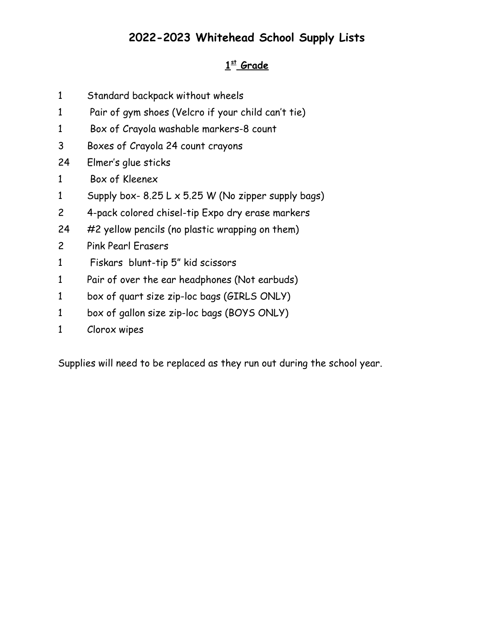### **st Grade**

- Standard backpack without wheels
- Pair of gym shoes (Velcro if your child can't tie)
- Box of Crayola washable markers-8 count
- Boxes of Crayola 24 count crayons
- Elmer's glue sticks
- Box of Kleenex
- 1 Supply box-  $8.25 L \times 5.25 W$  (No zipper supply bags)
- 4-pack colored chisel-tip Expo dry erase markers
- #2 yellow pencils (no plastic wrapping on them)
- Pink Pearl Erasers
- Fiskars blunt-tip 5" kid scissors
- Pair of over the ear headphones (Not earbuds)
- box of quart size zip-loc bags (GIRLS ONLY)
- box of gallon size zip-loc bags (BOYS ONLY)
- Clorox wipes

Supplies will need to be replaced as they run out during the school year.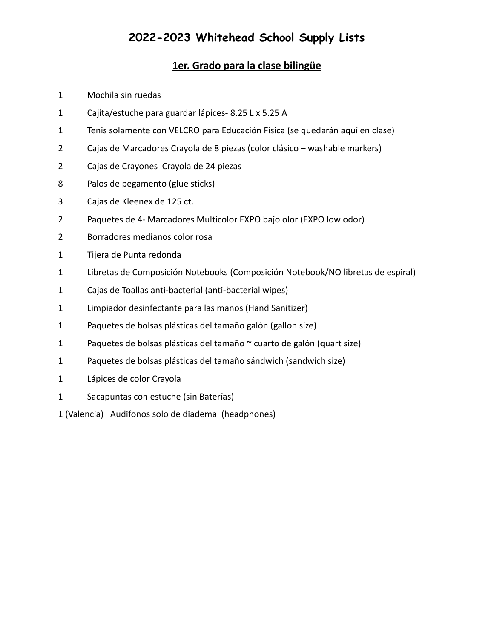### **1er. Grado para la clase bilingüe**

- Mochila sin ruedas
- Cajita/estuche para guardar lápices- 8.25 L x 5.25 A
- Tenis solamente con VELCRO para Educación Física (se quedarán aquí en clase)
- Cajas de Marcadores Crayola de 8 piezas (color clásico washable markers)
- Cajas de Crayones Crayola de 24 piezas
- Palos de pegamento (glue sticks)
- Cajas de Kleenex de 125 ct.
- Paquetes de 4- Marcadores Multicolor EXPO bajo olor (EXPO low odor)
- Borradores medianos color rosa
- Tijera de Punta redonda
- Libretas de Composición Notebooks (Composición Notebook/NO libretas de espiral)
- Cajas de Toallas anti-bacterial (anti-bacterial wipes)
- Limpiador desinfectante para las manos (Hand Sanitizer)
- Paquetes de bolsas plásticas del tamaño galón (gallon size)
- Paquetes de bolsas plásticas del tamaño ~ cuarto de galón (quart size)
- 1 Paquetes de bolsas plásticas del tamaño sándwich (sandwich size)
- Lápices de color Crayola
- Sacapuntas con estuche (sin Baterías)
- 1 (Valencia) Audifonos solo de diadema (headphones)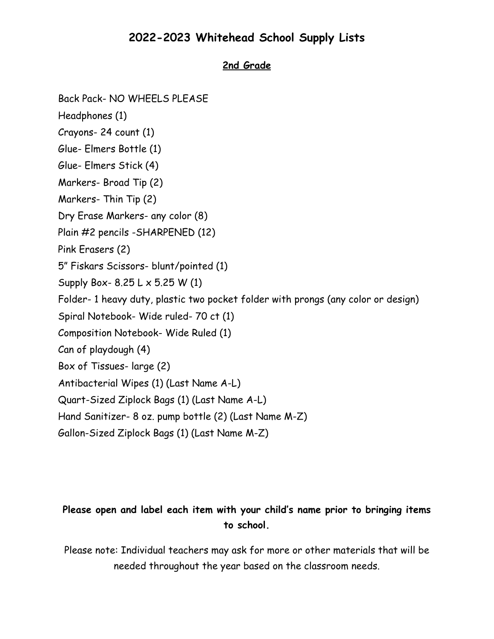### **2nd Grade**

Back Pack- NO WHEELS PLEASE

Headphones (1)

Crayons- 24 count (1)

Glue- Elmers Bottle (1)

Glue- Elmers Stick (4)

Markers- Broad Tip (2)

Markers- Thin Tip (2)

Dry Erase Markers- any color (8)

Plain #2 pencils -SHARPENED (12)

Pink Erasers (2)

5" Fiskars Scissors- blunt/pointed (1)

Supply Box- 8.25 L x 5.25 W (1)

Folder- 1 heavy duty, plastic two pocket folder with prongs (any color or design)

Spiral Notebook- Wide ruled- 70 ct (1)

Composition Notebook- Wide Ruled (1)

Can of playdough (4)

Box of Tissues- large (2)

Antibacterial Wipes (1) (Last Name A-L)

Quart-Sized Ziplock Bags (1) (Last Name A-L)

Hand Sanitizer- 8 oz. pump bottle (2) (Last Name M-Z)

Gallon-Sized Ziplock Bags (1) (Last Name M-Z)

### **Please open and label each item with your child's name prior to bringing items to school.**

Please note: Individual teachers may ask for more or other materials that will be needed throughout the year based on the classroom needs.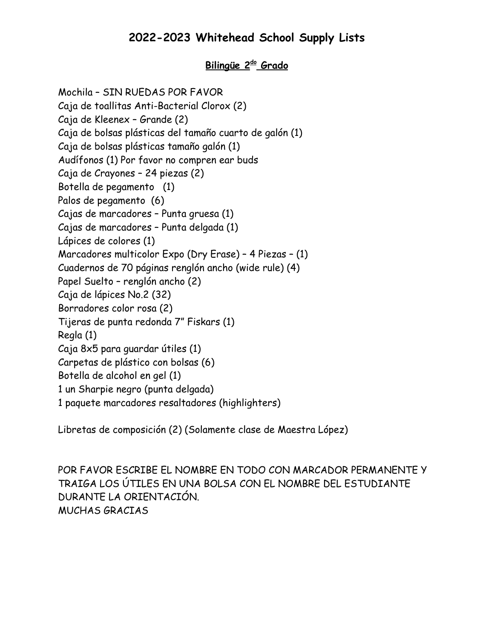### **Bilingüe 2do Grado**

Mochila – SIN RUEDAS POR FAVOR Caja de toallitas Anti-Bacterial Clorox (2) Caja de Kleenex – Grande (2) Caja de bolsas plásticas del tamaño cuarto de galón (1) Caja de bolsas plásticas tamaño galón (1) Audífonos (1) Por favor no compren ear buds Caja de Crayones – 24 piezas (2) Botella de pegamento (1) Palos de pegamento (6) Cajas de marcadores – Punta gruesa (1) Cajas de marcadores – Punta delgada (1) Lápices de colores (1) Marcadores multicolor Expo (Dry Erase) – 4 Piezas – (1) Cuadernos de 70 páginas renglón ancho (wide rule) (4) Papel Suelto – renglón ancho (2) Caja de lápices No.2 (32) Borradores color rosa (2) Tijeras de punta redonda 7" Fiskars (1) Regla (1) Caja 8x5 para guardar útiles (1) Carpetas de plástico con bolsas (6) Botella de alcohol en gel (1) 1 un Sharpie negro (punta delgada) 1 paquete marcadores resaltadores (highlighters)

Libretas de composición (2) (Solamente clase de Maestra López)

POR FAVOR ESCRIBE EL NOMBRE EN TODO CON MARCADOR PERMANENTE Y TRAIGA LOS ÚTILES EN UNA BOLSA CON EL NOMBRE DEL ESTUDIANTE DURANTE LA ORIENTACIÓN. MUCHAS GRACIAS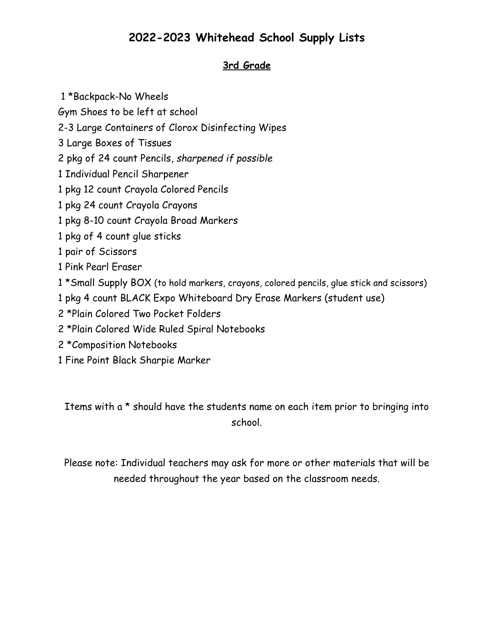### **3rd Grade**

- 1 \*Backpack-No Wheels
- Gym Shoes to be left at school
- 2-3 Large Containers of Clorox Disinfecting Wipes
- 3 Large Boxes of Tissues
- 2 pkg of 24 count Pencils, *sharpened if possible*
- 1 Individual Pencil Sharpener
- 1 pkg 12 count Crayola Colored Pencils
- 1 pkg 24 count Crayola Crayons
- 1 pkg 8-10 count Crayola Broad Markers
- 1 pkg of 4 count glue sticks
- 1 pair of Scissors
- 1 Pink Pearl Eraser
- 1 \*Small Supply BOX (to hold markers, crayons, colored pencils, glue stick and scissors)
- 1 pkg 4 count BLACK Expo Whiteboard Dry Erase Markers (student use)
- 2 \*Plain Colored Two Pocket Folders
- 2 \*Plain Colored Wide Ruled Spiral Notebooks
- 2 \*Composition Notebooks
- 1 Fine Point Black Sharpie Marker

Items with a \* should have the students name on each item prior to bringing into school.

Please note: Individual teachers may ask for more or other materials that will be needed throughout the year based on the classroom needs.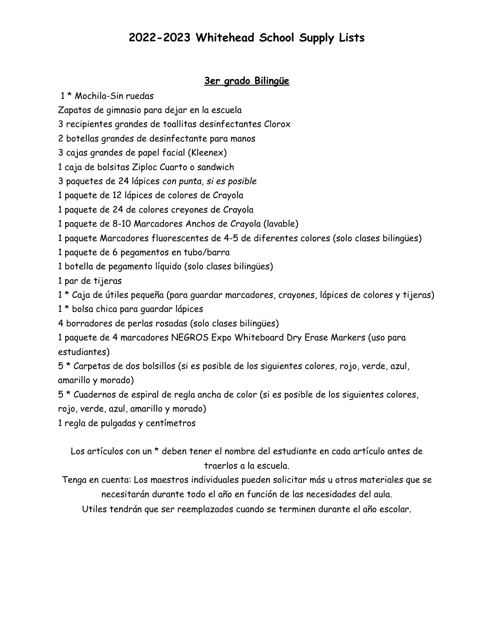#### **3er grado Bilingüe**

\* Mochila-Sin ruedas

Zapatos de gimnasio para dejar en la escuela

recipientes grandes de toallitas desinfectantes Clorox

botellas grandes de desinfectante para manos

cajas grandes de papel facial (Kleenex)

caja de bolsitas Ziploc Cuarto o sandwich

paquetes de 24 lápices *con punta, si es posible*

paquete de 12 lápices de colores de Crayola

paquete de 24 de colores creyones de Crayola

paquete de 8-10 Marcadores Anchos de Crayola (lavable)

paquete Marcadores fluorescentes de 4-5 de diferentes colores (solo clases bilingües)

paquete de 6 pegamentos en tubo/barra

botella de pegamento líquido (solo clases bilingües)

par de tijeras

\* Caja de útiles pequeña (para guardar marcadores, crayones, lápices de colores y tijeras)

- \* bolsa chica para guardar lápices
- borradores de perlas rosadas (solo clases bilingües)

 paquete de 4 marcadores NEGROS Expo Whiteboard Dry Erase Markers (uso para estudiantes)

 \* Carpetas de dos bolsillos (si es posible de los siguientes colores, rojo, verde, azul, amarillo y morado)

 \* Cuadernos de espiral de regla ancha de color (si es posible de los siguientes colores, rojo, verde, azul, amarillo y morado)

regla de pulgadas y centímetros

Los artículos con un \* deben tener el nombre del estudiante en cada artículo antes de traerlos a la escuela.

Tenga en cuenta: Los maestros individuales pueden solicitar más u otros materiales que se necesitarán durante todo el año en función de las necesidades del aula.

Utiles tendrán que ser reemplazados cuando se terminen durante el año escolar.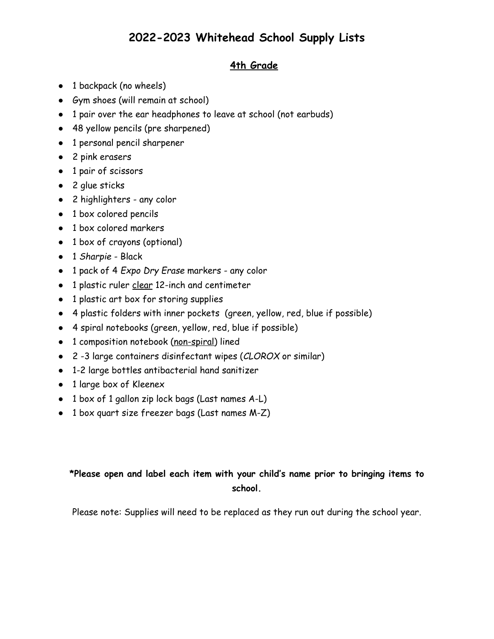### **4th Grade**

- 1 backpack (no wheels)
- Gym shoes (will remain at school)
- 1 pair over the ear headphones to leave at school (not earbuds)
- 48 yellow pencils (pre sharpened)
- 1 personal pencil sharpener
- 2 pink erasers
- 1 pair of scissors
- 2 glue sticks
- 2 highlighters any color
- 1 box colored pencils
- 1 box colored markers
- 1 box of crayons (optional)
- 1 *Sharpie* Black
- 1 pack of 4 *Expo Dry Erase* markers any color
- 1 plastic ruler clear 12-inch and centimeter
- 1 plastic art box for storing supplies
- 4 plastic folders with inner pockets (green, yellow, red, blue if possible)
- 4 spiral notebooks (green, yellow, red, blue if possible)
- 1 composition notebook (non-spiral) lined
- 2 -3 large containers disinfectant wipes (*CLOROX* or similar)
- 1-2 large bottles antibacterial hand sanitizer
- 1 large box of Kleenex
- 1 box of 1 gallon zip lock bags (Last names A-L)
- 1 box quart size freezer bags (Last names M-Z)

### **\*Please open and label each item with your child's name prior to bringing items to school.**

Please note: Supplies will need to be replaced as they run out during the school year.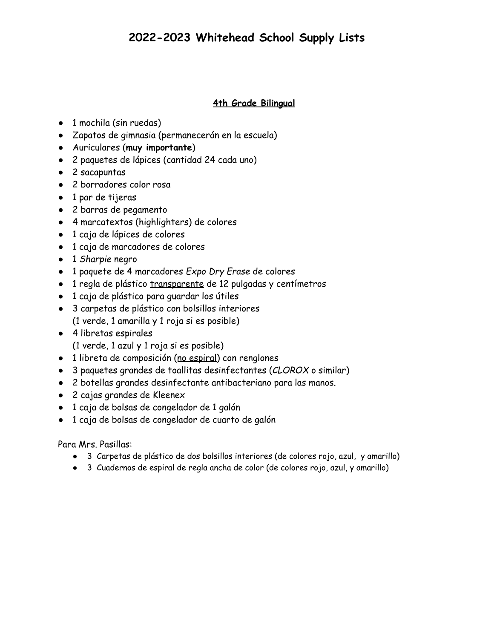#### **4th Grade Bilingual**

- 1 mochila (sin ruedas)
- Zapatos de gimnasia (permanecerán en la escuela)
- Auriculares (**muy importante**)
- 2 paquetes de lápices (cantidad 24 cada uno)
- 2 sacapuntas
- 2 borradores color rosa
- 1 par de tijeras
- 2 barras de pegamento
- 4 marcatextos (highlighters) de colores
- 1 caja de lápices de colores
- 1 caja de marcadores de colores
- 1 *Sharpie* negro
- 1 paquete de 4 marcadores *Expo Dry Erase* de colores
- 1 regla de plástico transparente de 12 pulgadas y centímetros
- 1 caja de plástico para guardar los útiles
- 3 carpetas de plástico con bolsillos interiores (1 verde, 1 amarilla y 1 roja si es posible)
- 4 libretas espirales (1 verde, 1 azul y 1 roja si es posible)
- 1 libreta de composición (no espiral) con renglones
- 3 paquetes grandes de toallitas desinfectantes (*CLOROX* o similar)
- 2 botellas grandes desinfectante antibacteriano para las manos.
- 2 cajas grandes de Kleenex
- 1 caja de bolsas de congelador de 1 galón
- 1 caja de bolsas de congelador de cuarto de galón

Para Mrs. Pasillas:

- 3 Carpetas de plástico de dos bolsillos interiores (de colores rojo, azul, y amarillo)
- 3 Cuadernos de espiral de regla ancha de color (de colores rojo, azul, y amarillo)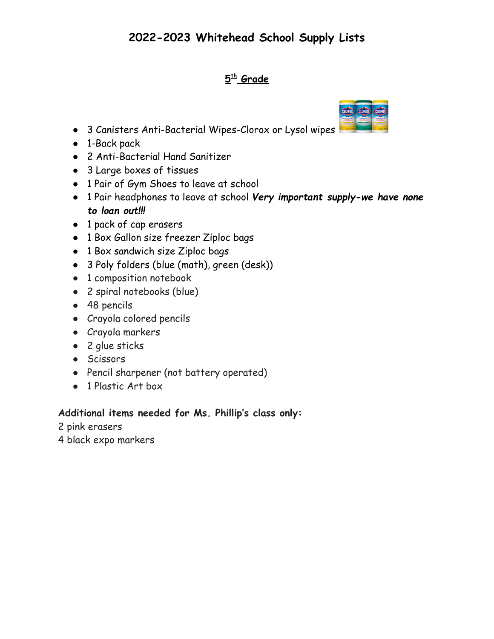### **5 th Grade**



- 1-Back pack
- 2 Anti-Bacterial Hand Sanitizer
- 3 Large boxes of tissues
- 1 Pair of Gym Shoes to leave at school
- 1 Pair headphones to leave at school *Very important supply-we have none to loan out!!!*
- 1 pack of cap erasers
- 1 Box Gallon size freezer Ziploc bags
- 1 Box sandwich size Ziploc bags
- 3 Poly folders (blue (math), green (desk))
- 1 composition notebook
- 2 spiral notebooks (blue)
- 48 pencils
- Crayola colored pencils
- Crayola markers
- 2 glue sticks
- Scissors
- Pencil sharpener (not battery operated)
- 1 Plastic Art box

### **Additional items needed for Ms. Phillip's class only:**

2 pink erasers

4 black expo markers